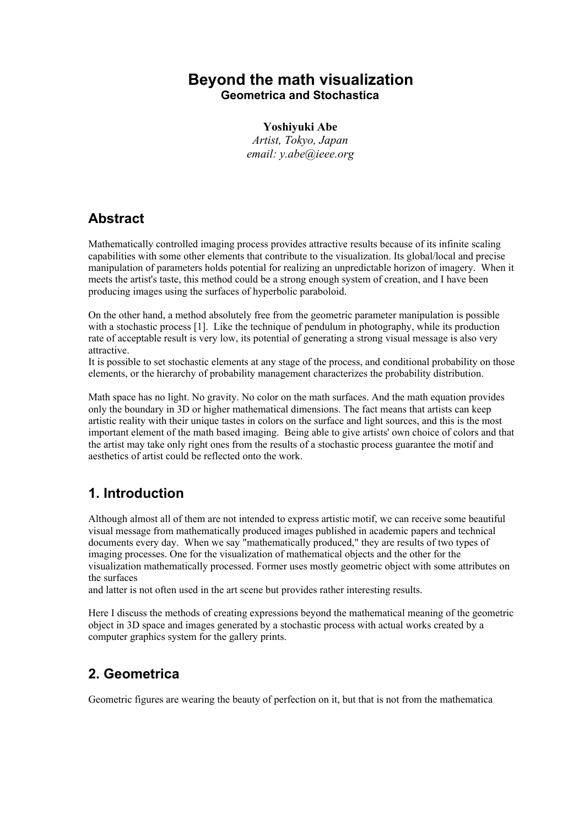### **Beyond the math visualization Geometrica and Stochastica**

**Yoshiyuki Abe** *Artist, Tokyo, Japan email: y.abe@ieee.org*

## **Abstract**

Mathematically controlled imaging process provides attractive results because of its infinite scaling capabilities with some other elements that contribute to the visualization. Its global/local and precise manipulation of parameters holds potential for realizing an unpredictable horizon of imagery. When it meets the artist's taste, this method could be a strong enough system of creation, and I have been producing images using the surfaces of hyperbolic paraboloid.

On the other hand, a method absolutely free from the geometric parameter manipulation is possible with a stochastic process [1]. Like the technique of pendulum in photography, while its production rate of acceptable result is very low, its potential of generating a strong visual message is also very attractive.

It is possible to set stochastic elements at any stage of the process, and conditional probability on those elements, or the hierarchy of probability management characterizes the probability distribution.

Math space has no light. No gravity. No color on the math surfaces. And the math equation provides only the boundary in 3D or higher mathematical dimensions. The fact means that artists can keep artistic reality with their unique tastes in colors on the surface and light sources, and this is the most important element of the math based imaging. Being able to give artists' own choice of colors and that the artist may take only right ones from the results of a stochastic process guarantee the motif and aesthetics of artist could be reflected onto the work.

# **1. Introduction**

Although almost all of them are not intended to express artistic motif, we can receive some beautiful visual message from mathematically produced images published in academic papers and technical documents every day. When we say "mathematically produced," they are results of two types of imaging processes. One for the visualization of mathematical objects and the other for the visualization mathematically processed. Former uses mostly geometric object with some attributes on the surfaces

and latter is not often used in the art scene but provides rather interesting results.

Here I discuss the methods of creating expressions beyond the mathematical meaning of the geometric object in 3D space and images generated by a stochastic process with actual works created by a computer graphics system for the gallery prints.

# **2. Geometrica**

Geometric figures are wearing the beauty of perfection on it, but that is not from the mathematical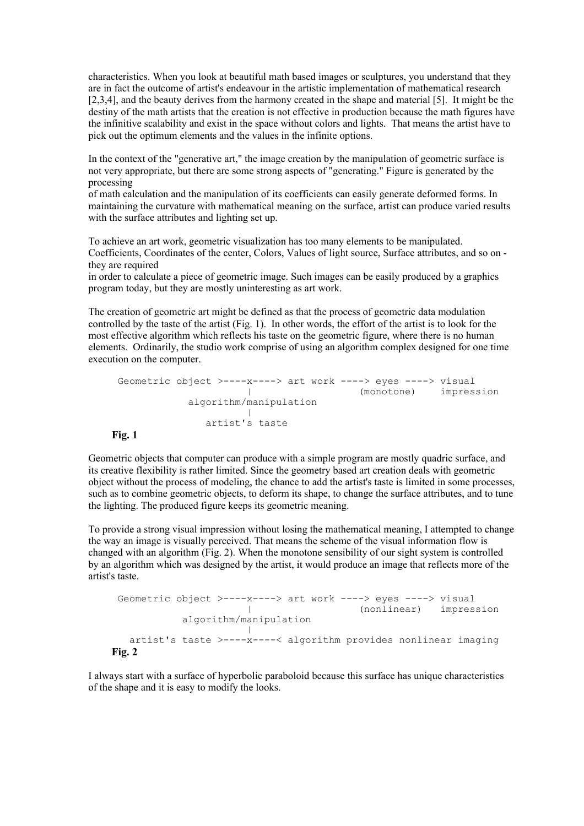characteristics. When you look at beautiful math based images or sculptures, you understand that they are in fact the outcome of artist's endeavour in the artistic implementation of mathematical research [2,3,4], and the beauty derives from the harmony created in the shape and material [5]. It might be the destiny of the math artists that the creation is not effective in production because the math figures have the infinitive scalability and exist in the space without colors and lights. That means the artist have to pick out the optimum elements and the values in the infinite options.

In the context of the "generative art," the image creation by the manipulation of geometric surface is not very appropriate, but there are some strong aspects of "generating." Figure is generated by the processing

of math calculation and the manipulation of its coefficients can easily generate deformed forms. In maintaining the curvature with mathematical meaning on the surface, artist can produce varied results with the surface attributes and lighting set up.

To achieve an art work, geometric visualization has too many elements to be manipulated. Coefficients, Coordinates of the center, Colors, Values of light source, Surface attributes, and so on they are required

in order to calculate a piece of geometric image. Such images can be easily produced by a graphics program today, but they are mostly uninteresting as art work.

The creation of geometric art might be defined as that the process of geometric data modulation controlled by the taste of the artist (Fig. 1). In other words, the effort of the artist is to look for the most effective algorithm which reflects his taste on the geometric figure, where there is no human elements. Ordinarily, the studio work comprise of using an algorithm complex designed for one time execution on the computer.

```
 Geometric object >----x----> art work ----> eyes ----> visual
| (monotone) impression
algorithm/manipulation
              |
             artist's taste
  Fig. 1
```
Geometric objects that computer can produce with a simple program are mostly quadric surface, and its creative flexibility is rather limited. Since the geometry based art creation deals with geometric object without the process of modeling, the chance to add the artist's taste is limited in some processes, such as to combine geometric objects, to deform its shape, to change the surface attributes, and to tune the lighting. The produced figure keeps its geometric meaning.

To provide a strong visual impression without losing the mathematical meaning, I attempted to change the way an image is visually perceived. That means the scheme of the visual information flow is changed with an algorithm (Fig. 2). When the monotone sensibility of our sight system is controlled by an algorithm which was designed by the artist, it would produce an image that reflects more of the artist's taste.

```
 Geometric object >----x----> art work ----> eyes ----> visual
| (nonlinear) impression
algorithm/manipulation
|
artist's taste >----x----< algorithm provides nonlinear imaging
  Fig. 2
```
I always start with a surface of hyperbolic paraboloid because this surface has unique characteristics of the shape and it is easy to modify the looks.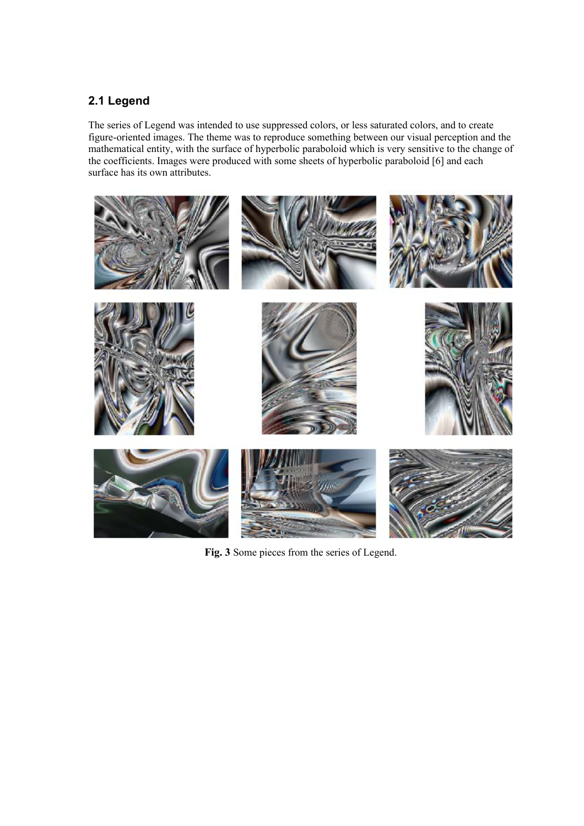### **2.1 Legend**

The series of Legend was intended to use suppressed colors, or less saturated colors, and to create figure-oriented images. The theme was to reproduce something between our visual perception and the mathematical entity, with the surface of hyperbolic paraboloid which is very sensitive to the change of mathematical entity, with the surface of hyperbolic paraboloid which is very sensitive to the change of the coefficients. Images were produced with some sheets of hyperbolic paraboloid [6] and each surface has its own attributes.



**Fig. 3** Some pieces from the series of Legend.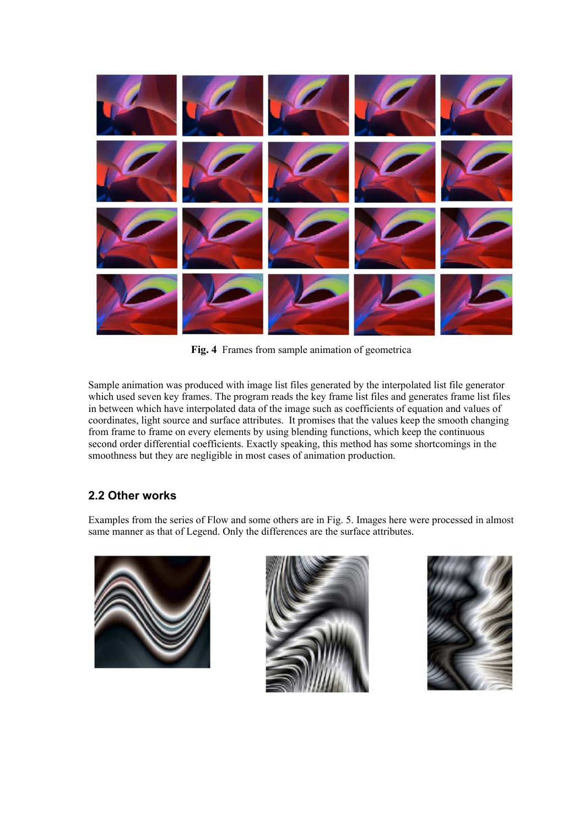

**Fig. 4** Frames from sample animation of geometrica

Sample animation was produced with image list files generated by the interpolated list file generator which used seven key frames. The program reads the key frame list files and generates frame list files in between which have interpolated data of the image such as coefficients of equation and values of coordinates, light source and surface attributes. It promises that the values keep the smooth changing from frame to frame on every elements by using blending functions, which keep the continuous second order differential coefficients. Exactly speaking, this method has some shortcomings in the smoothness but they are negligible in most cases of animation production.

#### **2.2 Other works**

Examples from the series of Flow and some others are in Fig. 5. Images here were processed in almost same manner as that of Legend. Only the differences are the surface attributes.





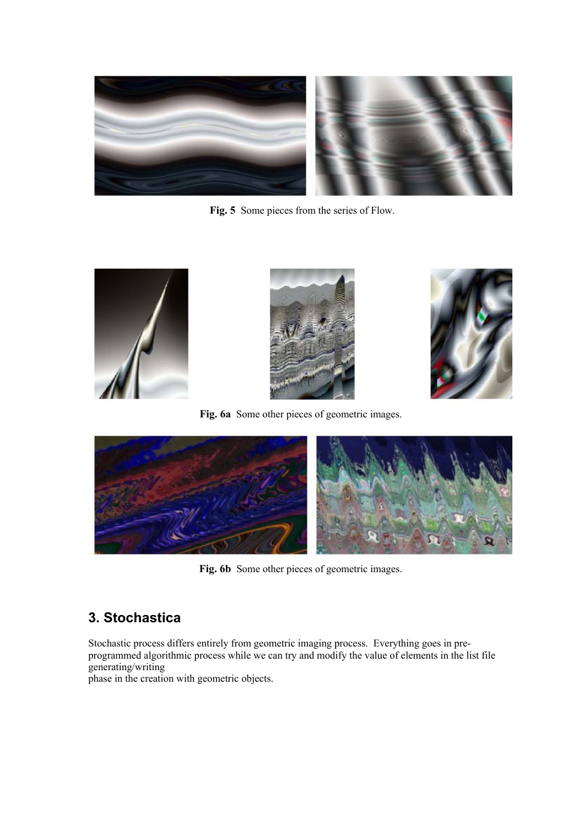

Fig. 5 Some pieces from the series of Flow.



**Fig. 6a** Some other pieces of geometric images.



**Fig. 6b** Some other pieces of geometric images.

# **3. Stochastica**

Stochastic process differs entirely from geometric imaging process. Everything goes in preprogrammed algorithmic process while we can try and modify the value of elements in the list file generating/writing

phase in the creation with geometric objects.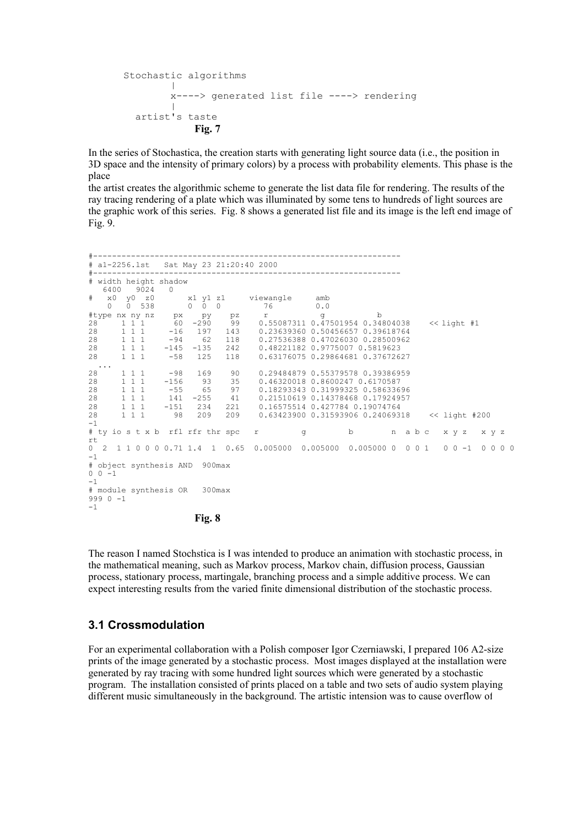```
Stochastic algorithms
|
           x----> generated list file ----> rendering
|
      artist's taste
              Fig. 7
```
In the series of Stochastica, the creation starts with generating light source data (i.e., the position in 3D space and the intensity of primary colors) by a process with probability elements. This phase is the place

the artist creates the algorithmic scheme to generate the list data file for rendering. The results of the ray tracing rendering of a plate which was illuminated by some tens to hundreds of light sources are the graphic work of this series. Fig. 8 shows a generated list file and its image is the left end image of Fig. 9.

|          | # a1-2256.1st Sat May 23 21:20:40 2000<br>-----------------------                                                                                                                     |            |       |                                                                                          |     |              |  |  |  |  |
|----------|---------------------------------------------------------------------------------------------------------------------------------------------------------------------------------------|------------|-------|------------------------------------------------------------------------------------------|-----|--------------|--|--|--|--|
|          | # width height shadow<br>6400 9024 0                                                                                                                                                  |            |       |                                                                                          |     |              |  |  |  |  |
|          | # x0 y0 z0 x1 y1 z1 viewangle amb<br>$0 \t 0 \t 538 \t 0 \t 0 \t 0 \t 76$                                                                                                             |            |       |                                                                                          | 0.0 |              |  |  |  |  |
| 28       |                                                                                                                                                                                       |            |       | 1 1 1 60 -290 99 0.55087311 0.47501954 0.34804038 << light #1                            |     | $\mathbf{b}$ |  |  |  |  |
|          | $28 \qquad \quad 1 \ \ 1 \ \ 1 \qquad \quad -16 \qquad \quad 197 \qquad \quad 143 \qquad \quad 0 \, . \, 23639360 \ \ 0 \, . \, 50456657 \ \ 0 \, . \, 39618764$<br>28 1 1 1 1 -94 62 |            |       | 118 0.27536388 0.47026030 0.28500962                                                     |     |              |  |  |  |  |
|          | 28 1 1 1 -145 -135<br>28 1 1 1 -58 125                                                                                                                                                |            | 118   | 242 0.48221182 0.9775007 0.5819623<br>0.63176075 0.29864681 0.37672627                   |     |              |  |  |  |  |
|          | $\sim$ 100 $\sim$ 100 $\sim$<br>28<br>$1 \t1 \t-98 \t169$<br>28 1 1 1 1 1 -156 93 35                                                                                                  |            | 90    | 0.29484879 0.55379578 0.39386959<br>0.46320018 0.8600247 0.6170587                       |     |              |  |  |  |  |
|          | 28<br>$1 \t1 \t1 \t-55$<br>1 1 1 1 1 141 -255 41<br>28                                                                                                                                |            | 65 97 | 0.18293343 0.31999325 0.58633696<br>0.21510619 0.14378468 0.17924957                     |     |              |  |  |  |  |
| 28<br>28 | $1 1 1 -1$                                                                                                                                                                            | 234<br>209 | 221   | 0.16575514 0.427784 0.19074764<br>209  0.63423900  0.31593906  0.24069318  << light #200 |     |              |  |  |  |  |
| $-1$     | # tyiost x b rfl rfr thr spc r r q b n a b c x y z x y z                                                                                                                              |            |       |                                                                                          |     |              |  |  |  |  |
| rt       | 0 2 1 1 0 0 0 0 0.71 1.4 1 0.65 0.005000 0.005000 0.005000 0 0 0 1 0 0 0 1 0 0 0 0                                                                                                    |            |       |                                                                                          |     |              |  |  |  |  |
| $-1$     | # object synthesis AND 900max                                                                                                                                                         |            |       |                                                                                          |     |              |  |  |  |  |
| $-1$     | $0 \t 0 \t -1$                                                                                                                                                                        |            |       |                                                                                          |     |              |  |  |  |  |
| $-1$     | # module synthesis OR 300max<br>$9990 - 1$                                                                                                                                            |            |       |                                                                                          |     |              |  |  |  |  |

**Fig. 8**

The reason I named Stochstica is I was intended to produce an animation with stochastic process, in the mathematical meaning, such as Markov process, Markov chain, diffusion process, Gaussian process, stationary process, martingale, branching process and a simple additive process. We can expect interesting results from the varied finite dimensional distribution of the stochastic process.

#### **3.1 Crossmodulation**

For an experimental collaboration with a Polish composer Igor Czerniawski, I prepared 106 A2-size prints of the image generated by a stochastic process. Most images displayed at the installation were generated by ray tracing with some hundred light sources which were generated by a stochastic program. The installation consisted of prints placed on a table and two sets of audio system playing different music simultaneously in the background. The artistic intension was to cause overflow of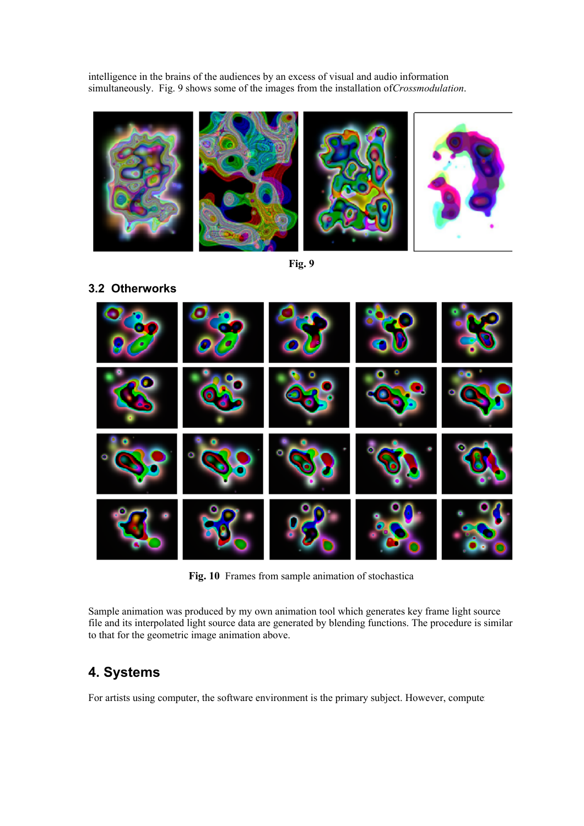intelligence in the brains of the audiences by an excess of visual and audio information simultaneously. Fig. 9 shows some of the images from the installation of *Crossmodulation*.





**Fig. 10** Frames from sample animation of stochastica

Sample animation was produced by my own animation tool which generates key frame light source file and its interpolated light source data are generated by blending functions. The procedure is similar to that for the geometric image animation above.

# **4. Systems**

For artists using computer, the software environment is the primary subject. However, computer

**3.2 Otherworks**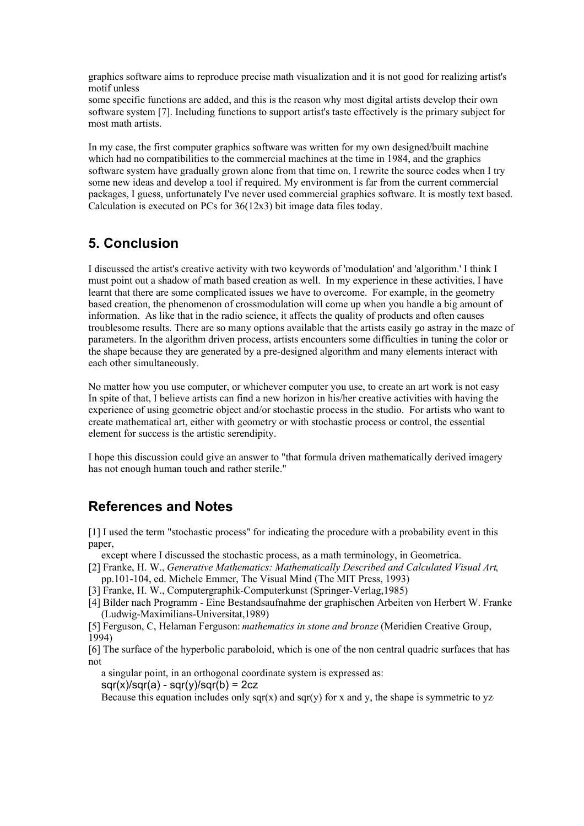graphics software aims to reproduce precise math visualization and it is not good for realizing artist's motif unless

some specific functions are added, and this is the reason why most digital artists develop their own software system [7]. Including functions to support artist's taste effectively is the primary subject for most math artists.

In my case, the first computer graphics software was written for my own designed/built machine which had no compatibilities to the commercial machines at the time in 1984, and the graphics software system have gradually grown alone from that time on. I rewrite the source codes when I try some new ideas and develop a tool if required. My environment is far from the current commercial packages, I guess, unfortunately I've never used commercial graphics software. It is mostly text based. Calculation is executed on PCs for 36(12x3) bit image data files today.

## **5. Conclusion**

I discussed the artist's creative activity with two keywords of 'modulation' and 'algorithm.' I think I must point out a shadow of math based creation as well. In my experience in these activities, I have learnt that there are some complicated issues we have to overcome. For example, in the geometry based creation, the phenomenon of crossmodulation will come up when you handle a big amount of information. As like that in the radio science, it affects the quality of products and often causes troublesome results. There are so many options available that the artists easily go astray in the maze of parameters. In the algorithm driven process, artists encounters some difficulties in tuning the color or the shape because they are generated by a pre-designed algorithm and many elements interact with each other simultaneously.

No matter how you use computer, or whichever computer you use, to create an art work is not easy In spite of that, I believe artists can find a new horizon in his/her creative activities with having the experience of using geometric object and/or stochastic process in the studio. For artists who want to create mathematical art, either with geometry or with stochastic process or control, the essential element for success is the artistic serendipity.

I hope this discussion could give an answer to "that formula driven mathematically derived imagery has not enough human touch and rather sterile."

## **References and Notes**

[1] I used the term "stochastic process" for indicating the procedure with a probability event in this paper,

except where I discussed the stochastic process, as a math terminology, in Geometrica.

- [2] Franke, H. W., *Generative Mathematics: Mathematically Described and Calculated Visual Art*,
- pp.101-104, ed. Michele Emmer, The Visual Mind (The MIT Press, 1993)
- [3] Franke, H. W., Computergraphik-Computerkunst (Springer-Verlag,1985)
- [4] Bilder nach Programm Eine Bestandsaufnahme der graphischen Arbeiten von Herbert W. Franke (Ludwig-Maximilians-Universitat,1989)

[5] Ferguson, C, Helaman Ferguson: *mathematics in stone and bronze* (Meridien Creative Group, 1994)

[6] The surface of the hyperbolic paraboloid, which is one of the non central quadric surfaces that has not

a singular point, in an orthogonal coordinate system is expressed as:

 $s$ gr(x)/sqr(a) - sqr(y)/sqr(b) = 2cz

Because this equation includes only sqr(x) and sqr(y) for x and y, the shape is symmetric to yz-